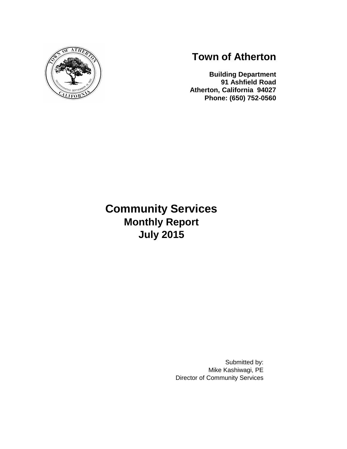

# **Town of Atherton**

**Building Department 91 Ashfield Road Atherton, California 94027 Phone: (650) 752-0560**

# **Community Services Monthly Report July 2015**

Submitted by: Mike Kashiwagi, PE Director of Community Services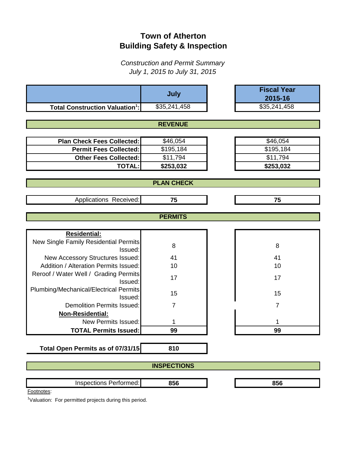# **Town of Atherton Building Safety & Inspection**

*Construction and Permit Summary July 1, 2015 to July 31, 2015*

|                                                  | July               | <b>Fiscal Year</b><br>2015-16 |
|--------------------------------------------------|--------------------|-------------------------------|
| <b>Total Construction Valuation<sup>1</sup>:</b> | \$35,241,458       | \$35,241,458                  |
|                                                  |                    |                               |
|                                                  | <b>REVENUE</b>     |                               |
|                                                  |                    |                               |
| <b>Plan Check Fees Collected:</b>                | \$46,054           | \$46,054                      |
| <b>Permit Fees Collected:</b>                    | \$195,184          | \$195,184                     |
| <b>Other Fees Collected:</b>                     | \$11,794           | \$11,794                      |
| <b>TOTAL:</b>                                    | \$253,032          | \$253,032                     |
|                                                  |                    |                               |
|                                                  | <b>PLAN CHECK</b>  |                               |
| Applications Received:                           | 75                 | 75                            |
|                                                  |                    |                               |
|                                                  | <b>PERMITS</b>     |                               |
|                                                  |                    |                               |
| <b>Residential:</b>                              |                    |                               |
| New Single Family Residential Permits            | 8                  | 8                             |
| Issued:                                          |                    |                               |
| New Accessory Structures Issued:                 | 41                 | 41                            |
| <b>Addition / Alteration Permits Issued:</b>     | 10                 | 10                            |
| Reroof / Water Well / Grading Permits<br>Issued: | 17                 | 17                            |
| Plumbing/Mechanical/Electrical Permits           |                    |                               |
| Issued:                                          | 15                 | 15                            |
| <b>Demolition Permits Issued:</b>                | $\overline{7}$     | $\overline{7}$                |
| Non-Residential:                                 |                    |                               |
| <b>New Permits Issued:</b>                       | 1                  |                               |
| <b>TOTAL Permits Issued:</b>                     | 99                 | 99                            |
|                                                  |                    |                               |
| Total Open Permits as of 07/31/15                | 810                |                               |
|                                                  | <b>INSPECTIONS</b> |                               |
| Inspections Performed:                           | 856                | 856                           |
| Footnotes:                                       |                    |                               |

<sup>1</sup>Valuation: For permitted projects during this period.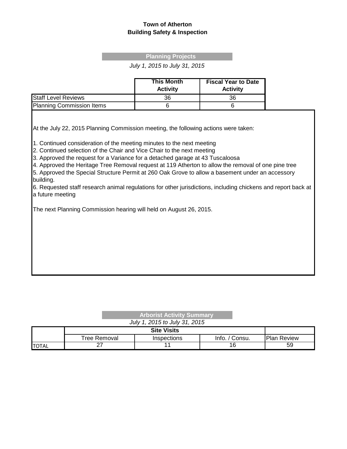#### **Town of Atherton Building Safety & Inspection**

#### **Planning Projects**

*July 1, 2015 to July 31, 2015*

|                                  | <b>This Month</b><br><b>Activity</b> | <b>Fiscal Year to Date</b><br><b>Activity</b> |
|----------------------------------|--------------------------------------|-----------------------------------------------|
| <b>Staff Level Reviews</b>       | 36                                   | 36                                            |
| <b>Planning Commission Items</b> |                                      |                                               |

At the July 22, 2015 Planning Commission meeting, the following actions were taken:

1. Continued consideration of the meeting minutes to the next meeting

2. Continued selection of the Chair and Vice Chair to the next meeting

3. Approved the request for a Variance for a detached garage at 43 Tuscaloosa

4. Approved the Heritage Tree Removal request at 119 Atherton to allow the removal of one pine tree

5. Approved the Special Structure Permit at 260 Oak Grove to allow a basement under an accessory building.

6. Requested staff research animal regulations for other jurisdictions, including chickens and report back at a future meeting

The next Planning Commission hearing will held on August 26, 2015.

| <b>Arborist Activity Summary</b> |  |
|----------------------------------|--|
| July 1, 2015 to July 31, 2015    |  |

|               | Tree Removal | <b>Inspections</b> | Info.<br>' Consu. | <b>Plan Review</b> |
|---------------|--------------|--------------------|-------------------|--------------------|
| <b>ITOTAL</b> | ~-           |                    | O                 | 59                 |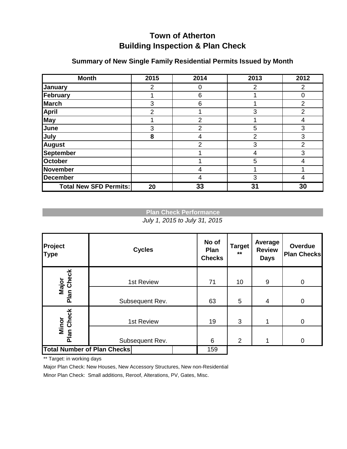# **Town of Atherton Building Inspection & Plan Check**

| <b>Month</b>                  | 2015 | 2014           | 2013 | 2012           |
|-------------------------------|------|----------------|------|----------------|
| January                       | 2    |                | 2    | 2              |
| February                      |      | 6              |      | 0              |
| <b>March</b>                  | 3    | 6              |      | 2              |
| April                         | 2    |                | 3    | $\overline{2}$ |
| <b>May</b>                    |      | $\overline{2}$ |      | 4              |
| June                          | 3    | $\overline{2}$ | 5    | 3              |
| <b>July</b>                   | 8    | 4              | 2    | 3              |
| <b>August</b>                 |      | $\overline{2}$ | 3    | $\overline{2}$ |
| <b>September</b>              |      |                | 4    | 3              |
| <b>October</b>                |      |                | 5    | 4              |
| <b>November</b>               |      | 4              |      |                |
| <b>December</b>               |      | 4              | 3    | 4              |
| <b>Total New SFD Permits:</b> | 20   | 33             | 31   | 30             |

### **Summary of New Single Family Residential Permits Issued by Month**

### **Plan Check Performance**

*July 1, 2015 to July 31, 2015*

| Project<br><b>Type</b>             | <b>Cycles</b>   | No of<br><b>Plan</b><br><b>Checks</b> | <b>Target</b><br>$**$ | Average<br><b>Review</b><br><b>Days</b> | Overdue<br><b>Plan Checks</b> |
|------------------------------------|-----------------|---------------------------------------|-----------------------|-----------------------------------------|-------------------------------|
| Major<br>Plan Check                | 1st Review      | 71                                    | 10                    | 9                                       | $\overline{0}$                |
|                                    | Subsequent Rev. | 63                                    | 5                     | $\overline{4}$                          | $\overline{0}$                |
| Minor<br>Plan Check                | 1st Review      | 19                                    | 3                     |                                         | $\overline{0}$                |
|                                    | Subsequent Rev. | 6                                     | $\overline{2}$        |                                         | $\mathbf 0$                   |
| <b>Total Number of Plan Checks</b> |                 | 159                                   |                       |                                         |                               |

\*\* Target: in working days

Major Plan Check: New Houses, New Accessory Structures, New non-Residential Minor Plan Check: Small additions, Reroof, Alterations, PV, Gates, Misc.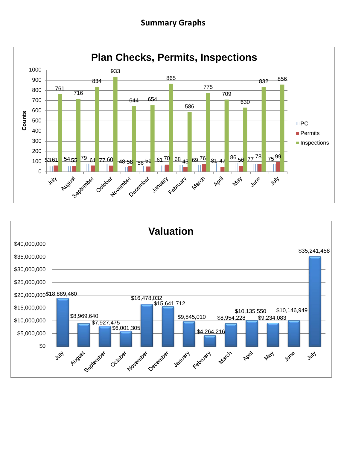## **Summary Graphs**